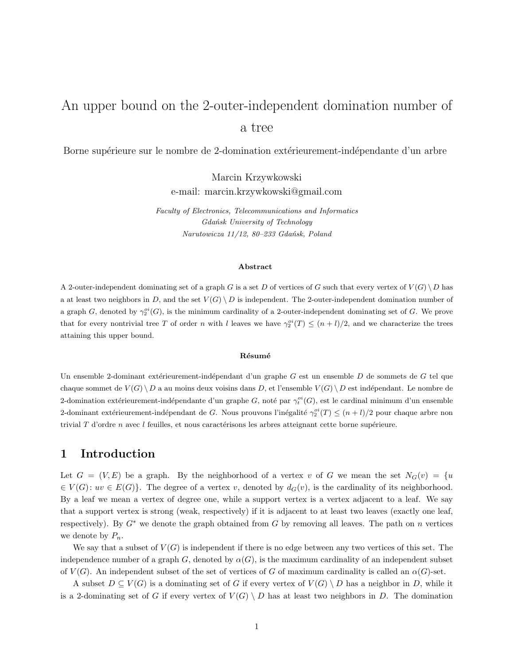# An upper bound on the 2-outer-independent domination number of a tree

Borne supérieure sur le nombre de 2-domination extérieurement-indépendante d'un arbre

Marcin Krzywkowski e-mail: marcin.krzywkowski@gmail.com

*Faculty of Electronics, Telecommunications and Informatics Gdańsk University of Technology Narutowicza 11/12, 80–233 Gdańsk, Poland*

#### **Abstract**

A 2-outer-independent dominating set of a graph G is a set D of vertices of G such that every vertex of  $V(G) \ D$  has a at least two neighbors in D, and the set  $V(G) \setminus D$  is independent. The 2-outer-independent domination number of a graph G, denoted by  $\gamma_2^{oi}(G)$ , is the minimum cardinality of a 2-outer-independent dominating set of G. We prove that for every nontrivial tree T of order n with l leaves we have  $\gamma_2^{oi}(T) \leq (n+l)/2$ , and we characterize the trees attaining this upper bound.

#### **R´esum´e**

Un ensemble 2-dominant extérieurement-indépendant d'un graphe G est un ensemble D de sommets de G tel que chaque sommet de  $V(G) \backslash D$  a au moins deux voisins dans D, et l'ensemble  $V(G) \backslash D$  est indépendant. Le nombre de 2-domination extérieurement-indépendante d'un graphe G, noté par  $\gamma_t^{oi}(G)$ , est le cardinal minimum d'un ensemble 2-dominant extérieurement-indépendant de G. Nous prouvons l'inégalité  $\gamma_2^{oi}(T) \le (n+l)/2$  pour chaque arbre non trivial  $T$  d'ordre  $n$  avec l feuilles, et nous caractérisons les arbres atteignant cette borne supérieure.

## **1 Introduction**

Let  $G = (V, E)$  be a graph. By the neighborhood of a vertex v of G we mean the set  $N_G(v) = \{u\}$  $\in V(G): uv \in E(G)$ . The degree of a vertex v, denoted by  $d_G(v)$ , is the cardinality of its neighborhood. By a leaf we mean a vertex of degree one, while a support vertex is a vertex adjacent to a leaf. We say that a support vertex is strong (weak, respectively) if it is adjacent to at least two leaves (exactly one leaf, respectively). By  $G^*$  we denote the graph obtained from G by removing all leaves. The path on n vertices we denote by  $P_n$ .

We say that a subset of  $V(G)$  is independent if there is no edge between any two vertices of this set. The independence number of a graph G, denoted by  $\alpha(G)$ , is the maximum cardinality of an independent subset of  $V(G)$ . An independent subset of the set of vertices of G of maximum cardinality is called an  $\alpha(G)$ -set.

A subset  $D \subseteq V(G)$  is a dominating set of G if every vertex of  $V(G) \setminus D$  has a neighbor in D, while it is a 2-dominating set of G if every vertex of  $V(G) \setminus D$  has at least two neighbors in D. The domination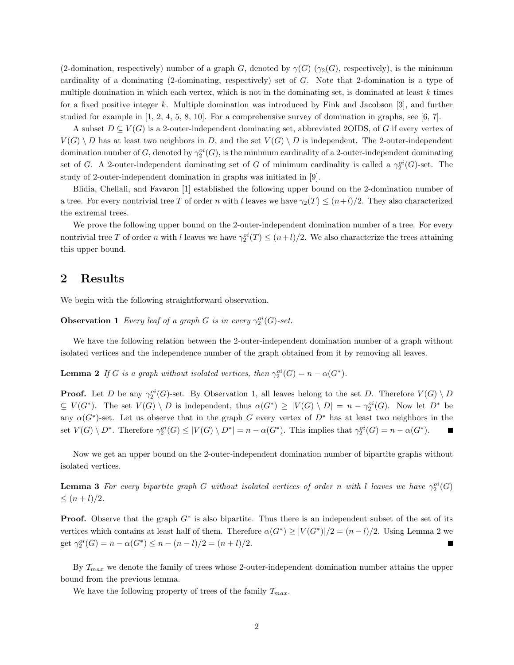(2-domination, respectively) number of a graph G, denoted by  $\gamma(G)$  ( $\gamma_2(G)$ , respectively), is the minimum cardinality of a dominating (2-dominating, respectively) set of G. Note that 2-domination is a type of multiple domination in which each vertex, which is not in the dominating set, is dominated at least  $k$  times for a fixed positive integer k. Multiple domination was introduced by Fink and Jacobson [3], and further studied for example in [1, 2, 4, 5, 8, 10]. For a comprehensive survey of domination in graphs, see [6, 7].

A subset  $D \subseteq V(G)$  is a 2-outer-independent dominating set, abbreviated 2OIDS, of G if every vertex of  $V(G) \setminus D$  has at least two neighbors in D, and the set  $V(G) \setminus D$  is independent. The 2-outer-independent domination number of G, denoted by  $\gamma_2^{oi}(G)$ , is the minimum cardinality of a 2-outer-independent dominating set of G. A 2-outer-independent dominating set of G of minimum cardinality is called a  $\gamma_2^{oi}(G)$ -set. The study of 2-outer-independent domination in graphs was initiated in [9].

Blidia, Chellali, and Favaron [1] established the following upper bound on the 2-domination number of a tree. For every nontrivial tree T of order n with l leaves we have  $\gamma_2(T) \leq (n+l)/2$ . They also characterized the extremal trees.

We prove the following upper bound on the 2-outer-independent domination number of a tree. For every nontrivial tree T of order n with l leaves we have  $\gamma_2^{oi}(T) \leq (n+l)/2$ . We also characterize the trees attaining this upper bound.

### **2 Results**

We begin with the following straightforward observation.

**Observation 1** *Every leaf of a graph G is in every*  $\gamma_2^{oi}(G)$ -set.

We have the following relation between the 2-outer-independent domination number of a graph without isolated vertices and the independence number of the graph obtained from it by removing all leaves.

**Lemma 2** *If* G *is a graph without isolated vertices, then*  $\gamma_2^{oi}(G) = n - \alpha(G^*)$ *.* 

**Proof.** Let D be any  $\gamma_2^{oi}(G)$ -set. By Observation 1, all leaves belong to the set D. Therefore  $V(G) \setminus D$  $\subseteq V(G^*)$ . The set  $V(G) \setminus D$  is independent, thus  $\alpha(G^*) \geq |V(G) \setminus D| = n - \gamma_2^{oi}(G)$ . Now let  $D^*$  be any  $\alpha(G^*)$ -set. Let us observe that in the graph G every vertex of  $D^*$  has at least two neighbors in the set  $V(G) \setminus D^*$ . Therefore  $\gamma_2^{oi}(G) \leq |V(G) \setminus D^*| = n - \alpha(G^*)$ . This implies that  $\gamma_2^{oi}(G) = n - \alpha(G^*)$ .

Now we get an upper bound on the 2-outer-independent domination number of bipartite graphs without isolated vertices.

**Lemma 3** *For every bipartite graph* G *without isolated vertices of order* n *with* l *leaves we have*  $\gamma_2^{oi}(G)$  $\leq (n+l)/2.$ 

**Proof.** Observe that the graph  $G^*$  is also bipartite. Thus there is an independent subset of the set of its vertices which contains at least half of them. Therefore  $\alpha(G^*) \geq |V(G^*)|/2 = (n-l)/2$ . Using Lemma 2 we get  $\gamma_2^{oi}(G) = n - \alpha(G^*) \leq n - (n - l)/2 = (n + l)/2.$ Г

By  $\mathcal{T}_{max}$  we denote the family of trees whose 2-outer-independent domination number attains the upper bound from the previous lemma.

We have the following property of trees of the family  $\mathcal{T}_{max}$ .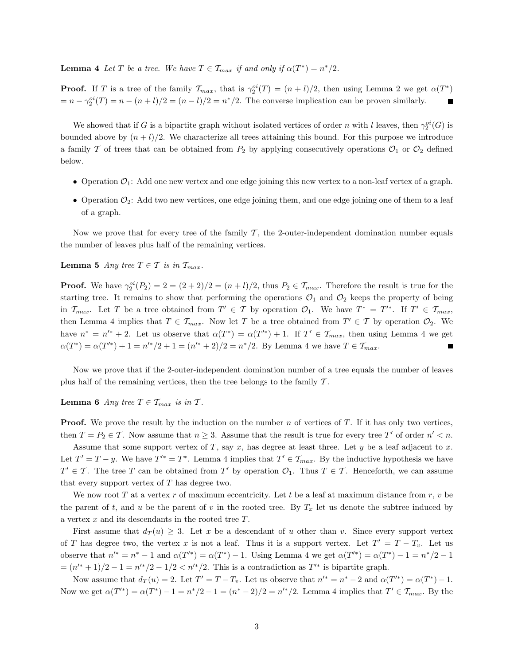**Lemma 4** *Let* T *be a tree.* We have  $T \in \mathcal{T}_{max}$  *if and only if*  $\alpha(T^*) = n^*/2$ *.* 

**Proof.** If T is a tree of the family  $\mathcal{T}_{max}$ , that is  $\gamma_2^{oi}(T) = (n+l)/2$ , then using Lemma 2 we get  $\alpha(T^*)$  $= n - \gamma_2^{oi}(T) = n - (n+l)/2 = (n-l)/2 = n^*/2$ . The converse implication can be proven similarly.

We showed that if G is a bipartite graph without isolated vertices of order n with l leaves, then  $\gamma_2^{oi}(G)$  is bounded above by  $(n + l)/2$ . We characterize all trees attaining this bound. For this purpose we introduce a family T of trees that can be obtained from  $P_2$  by applying consecutively operations  $\mathcal{O}_1$  or  $\mathcal{O}_2$  defined below.

- Operation  $\mathcal{O}_1$ : Add one new vertex and one edge joining this new vertex to a non-leaf vertex of a graph.
- Operation  $\mathcal{O}_2$ : Add two new vertices, one edge joining them, and one edge joining one of them to a leaf of a graph.

Now we prove that for every tree of the family  $\mathcal{T}$ , the 2-outer-independent domination number equals the number of leaves plus half of the remaining vertices.

**Lemma 5** *Any tree*  $T \in \mathcal{T}$  *is in*  $\mathcal{T}_{max}$ *.* 

**Proof.** We have  $\gamma_2^{oi}(P_2) = 2 = (2+2)/2 = (n+l)/2$ , thus  $P_2 \in \mathcal{T}_{max}$ . Therefore the result is true for the starting tree. It remains to show that performing the operations  $\mathcal{O}_1$  and  $\mathcal{O}_2$  keeps the property of being in  $\mathcal{T}_{max}$ . Let T be a tree obtained from  $T' \in \mathcal{T}$  by operation  $\mathcal{O}_1$ . We have  $T^* = T'^*$ . If  $T' \in \mathcal{T}_{max}$ , then Lemma 4 implies that  $T \in \mathcal{T}_{max}$ . Now let T be a tree obtained from  $T' \in \mathcal{T}$  by operation  $\mathcal{O}_2$ . We have  $n^* = n'^* + 2$ . Let us observe that  $\alpha(T^*) = \alpha(T'^*) + 1$ . If  $T' \in \mathcal{T}_{max}$ , then using Lemma 4 we get  $\alpha(T^*) = \alpha(T'^*) + 1 = n'^*/2 + 1 = (n'^* + 2)/2 = n^*/2$ . By Lemma 4 we have  $T \in \mathcal{T}_{max}$ .

Now we prove that if the 2-outer-independent domination number of a tree equals the number of leaves plus half of the remaining vertices, then the tree belongs to the family  $T$ .

**Lemma 6** *Any tree*  $T \in \mathcal{T}_{max}$  *is in*  $\mathcal{T}$ *.* 

**Proof.** We prove the result by the induction on the number  $n$  of vertices of  $T$ . If it has only two vertices, then  $T = P_2 \in \mathcal{T}$ . Now assume that  $n \geq 3$ . Assume that the result is true for every tree T' of order  $n' < n$ .

Assume that some support vertex of T, say x, has degree at least three. Let y be a leaf adjacent to x. Let  $T' = T - y$ . We have  $T'^* = T^*$ . Lemma 4 implies that  $T' \in \mathcal{T}_{max}$ . By the inductive hypothesis we have  $T' \in \mathcal{T}$ . The tree T can be obtained from T' by operation  $\mathcal{O}_1$ . Thus  $T \in \mathcal{T}$ . Henceforth, we can assume that every support vertex of  $T$  has degree two.

We now root T at a vertex r of maximum eccentricity. Let t be a leaf at maximum distance from  $r, v$  be the parent of t, and u be the parent of v in the rooted tree. By  $T_x$  let us denote the subtree induced by a vertex  $x$  and its descendants in the rooted tree  $T$ .

First assume that  $d_T(u) \geq 3$ . Let x be a descendant of u other than v. Since every support vertex of T has degree two, the vertex x is not a leaf. Thus it is a support vertex. Let  $T' = T - T_v$ . Let us observe that  $n'^* = n^* - 1$  and  $\alpha(T'^*) = \alpha(T^*) - 1$ . Using Lemma 4 we get  $\alpha(T'^*) = \alpha(T^*) - 1 = n^*/2 - 1$  $=(n^{\prime\ast}+1)/2-1=n^{\prime\ast}/2-1/2. This is a contradiction as  $T^{\prime\ast}$  is bipartite graph.$ 

Now assume that  $d_T(u) = 2$ . Let  $T' = T - T_v$ . Let us observe that  $n'^* = n^* - 2$  and  $\alpha(T'^*) = \alpha(T^*) - 1$ . Now we get  $\alpha(T^*) = \alpha(T^*) - 1 = n^*/2 - 1 = (n^* - 2)/2 = n'^*/2$ . Lemma 4 implies that  $T' \in \mathcal{T}_{max}$ . By the